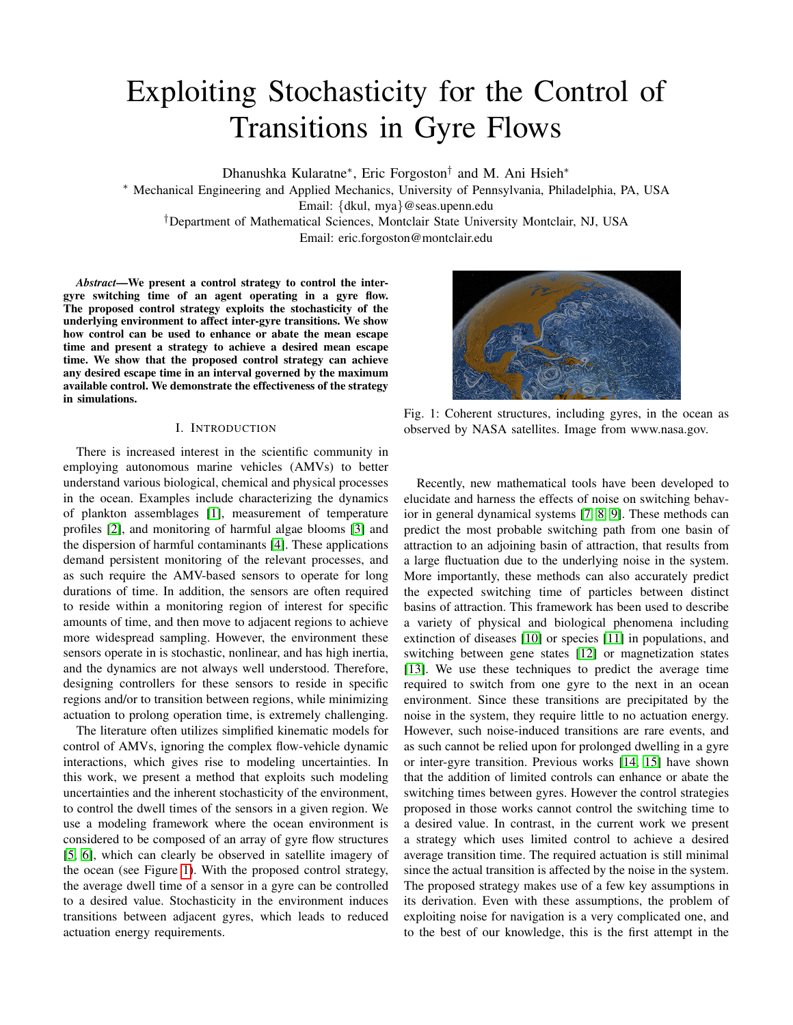# Exploiting Stochasticity for the Control of Transitions in Gyre Flows

Dhanushka Kularatne<sup>∗</sup> , Eric Forgoston† and M. Ani Hsieh<sup>∗</sup>

<sup>∗</sup> Mechanical Engineering and Applied Mechanics, University of Pennsylvania, Philadelphia, PA, USA Email: {dkul, mya}@seas.upenn.edu

†Department of Mathematical Sciences, Montclair State University Montclair, NJ, USA

Email: eric.forgoston@montclair.edu

*Abstract*—We present a control strategy to control the intergyre switching time of an agent operating in a gyre flow. The proposed control strategy exploits the stochasticity of the underlying environment to affect inter-gyre transitions. We show how control can be used to enhance or abate the mean escape time and present a strategy to achieve a desired mean escape time. We show that the proposed control strategy can achieve any desired escape time in an interval governed by the maximum available control. We demonstrate the effectiveness of the strategy in simulations.

# I. INTRODUCTION

There is increased interest in the scientific community in employing autonomous marine vehicles (AMVs) to better understand various biological, chemical and physical processes in the ocean. Examples include characterizing the dynamics of plankton assemblages [\[1\]](#page-7-0), measurement of temperature profiles [\[2\]](#page-7-1), and monitoring of harmful algae blooms [\[3\]](#page-7-2) and the dispersion of harmful contaminants [\[4\]](#page-8-0). These applications demand persistent monitoring of the relevant processes, and as such require the AMV-based sensors to operate for long durations of time. In addition, the sensors are often required to reside within a monitoring region of interest for specific amounts of time, and then move to adjacent regions to achieve more widespread sampling. However, the environment these sensors operate in is stochastic, nonlinear, and has high inertia, and the dynamics are not always well understood. Therefore, designing controllers for these sensors to reside in specific regions and/or to transition between regions, while minimizing actuation to prolong operation time, is extremely challenging.

The literature often utilizes simplified kinematic models for control of AMVs, ignoring the complex flow-vehicle dynamic interactions, which gives rise to modeling uncertainties. In this work, we present a method that exploits such modeling uncertainties and the inherent stochasticity of the environment, to control the dwell times of the sensors in a given region. We use a modeling framework where the ocean environment is considered to be composed of an array of gyre flow structures [\[5,](#page-8-1) [6\]](#page-8-2), which can clearly be observed in satellite imagery of the ocean (see Figure [1\)](#page-0-0). With the proposed control strategy, the average dwell time of a sensor in a gyre can be controlled to a desired value. Stochasticity in the environment induces transitions between adjacent gyres, which leads to reduced actuation energy requirements.

<span id="page-0-0"></span>

Fig. 1: Coherent structures, including gyres, in the ocean as observed by NASA satellites. Image from www.nasa.gov.

Recently, new mathematical tools have been developed to elucidate and harness the effects of noise on switching behavior in general dynamical systems [\[7,](#page-8-3) [8,](#page-8-4) [9\]](#page-8-5). These methods can predict the most probable switching path from one basin of attraction to an adjoining basin of attraction, that results from a large fluctuation due to the underlying noise in the system. More importantly, these methods can also accurately predict the expected switching time of particles between distinct basins of attraction. This framework has been used to describe a variety of physical and biological phenomena including extinction of diseases [\[10\]](#page-8-6) or species [\[11\]](#page-8-7) in populations, and switching between gene states [\[12\]](#page-8-8) or magnetization states [\[13\]](#page-8-9). We use these techniques to predict the average time required to switch from one gyre to the next in an ocean environment. Since these transitions are precipitated by the noise in the system, they require little to no actuation energy. However, such noise-induced transitions are rare events, and as such cannot be relied upon for prolonged dwelling in a gyre or inter-gyre transition. Previous works [\[14,](#page-8-10) [15\]](#page-8-11) have shown that the addition of limited controls can enhance or abate the switching times between gyres. However the control strategies proposed in those works cannot control the switching time to a desired value. In contrast, in the current work we present a strategy which uses limited control to achieve a desired average transition time. The required actuation is still minimal since the actual transition is affected by the noise in the system. The proposed strategy makes use of a few key assumptions in its derivation. Even with these assumptions, the problem of exploiting noise for navigation is a very complicated one, and to the best of our knowledge, this is the first attempt in the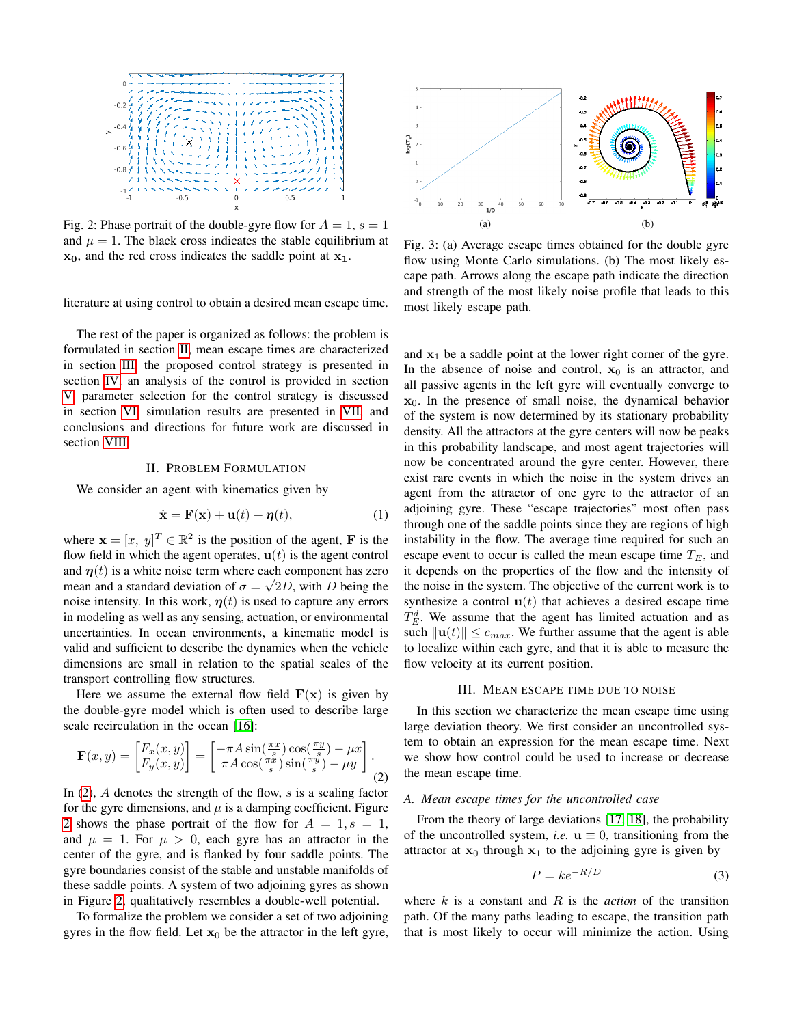<span id="page-1-3"></span>

Fig. 2: Phase portrait of the double-gyre flow for  $A = 1$ ,  $s = 1$ and  $\mu = 1$ . The black cross indicates the stable equilibrium at  $x_0$ , and the red cross indicates the saddle point at  $x_1$ .

literature at using control to obtain a desired mean escape time.

The rest of the paper is organized as follows: the problem is formulated in section [II,](#page-1-0) mean escape times are characterized in section [III,](#page-1-1) the proposed control strategy is presented in section [IV,](#page-2-0) an analysis of the control is provided in section [V,](#page-4-0) parameter selection for the control strategy is discussed in section [VI,](#page-5-0) simulation results are presented in [VII,](#page-5-1) and conclusions and directions for future work are discussed in section [VIII.](#page-6-0)

#### II. PROBLEM FORMULATION

<span id="page-1-0"></span>We consider an agent with kinematics given by

$$
\dot{\mathbf{x}} = \mathbf{F}(\mathbf{x}) + \mathbf{u}(t) + \boldsymbol{\eta}(t), \tag{1}
$$

where  $\mathbf{x} = [x, y]^T \in \mathbb{R}^2$  is the position of the agent, **F** is the flow field in which the agent operates,  $\mathbf{u}(t)$  is the agent control and  $\eta(t)$  is a white noise term where each component has zero mean and a standard deviation of  $\sigma = \sqrt{2D}$ , with D being the noise intensity. In this work,  $\eta(t)$  is used to capture any errors in modeling as well as any sensing, actuation, or environmental uncertainties. In ocean environments, a kinematic model is valid and sufficient to describe the dynamics when the vehicle dimensions are small in relation to the spatial scales of the transport controlling flow structures.

Here we assume the external flow field  $F(x)$  is given by the double-gyre model which is often used to describe large scale recirculation in the ocean [\[16\]](#page-8-12):

$$
\mathbf{F}(x,y) = \begin{bmatrix} F_x(x,y) \\ F_y(x,y) \end{bmatrix} = \begin{bmatrix} -\pi A \sin(\frac{\pi x}{s}) \cos(\frac{\pi y}{s}) - \mu x \\ \pi A \cos(\frac{\pi x}{s}) \sin(\frac{\pi y}{s}) - \mu y \end{bmatrix}.
$$
\n(2)

In  $(2)$ , A denotes the strength of the flow, s is a scaling factor for the gyre dimensions, and  $\mu$  is a damping coefficient. Figure [2](#page-1-3) shows the phase portrait of the flow for  $A = 1, s = 1$ , and  $\mu = 1$ . For  $\mu > 0$ , each gyre has an attractor in the center of the gyre, and is flanked by four saddle points. The gyre boundaries consist of the stable and unstable manifolds of these saddle points. A system of two adjoining gyres as shown in Figure [2,](#page-1-3) qualitatively resembles a double-well potential.

To formalize the problem we consider a set of two adjoining gyres in the flow field. Let  $x_0$  be the attractor in the left gyre,

<span id="page-1-4"></span>

<span id="page-1-5"></span>Fig. 3: (a) Average escape times obtained for the double gyre flow using Monte Carlo simulations. (b) The most likely escape path. Arrows along the escape path indicate the direction and strength of the most likely noise profile that leads to this most likely escape path.

and  $x_1$  be a saddle point at the lower right corner of the gyre. In the absence of noise and control,  $x_0$  is an attractor, and all passive agents in the left gyre will eventually converge to  $x_0$ . In the presence of small noise, the dynamical behavior of the system is now determined by its stationary probability density. All the attractors at the gyre centers will now be peaks in this probability landscape, and most agent trajectories will now be concentrated around the gyre center. However, there exist rare events in which the noise in the system drives an agent from the attractor of one gyre to the attractor of an adjoining gyre. These "escape trajectories" most often pass through one of the saddle points since they are regions of high instability in the flow. The average time required for such an escape event to occur is called the mean escape time  $T_E$ , and it depends on the properties of the flow and the intensity of the noise in the system. The objective of the current work is to synthesize a control  $\mathbf{u}(t)$  that achieves a desired escape time  $T_E^d$ . We assume that the agent has limited actuation and as such  $\|\mathbf{u}(t)\| \leq c_{max}$ . We further assume that the agent is able to localize within each gyre, and that it is able to measure the flow velocity at its current position.

#### III. MEAN ESCAPE TIME DUE TO NOISE

<span id="page-1-2"></span><span id="page-1-1"></span>In this section we characterize the mean escape time using large deviation theory. We first consider an uncontrolled system to obtain an expression for the mean escape time. Next we show how control could be used to increase or decrease the mean escape time.

#### *A. Mean escape times for the uncontrolled case*

From the theory of large deviations [\[17,](#page-8-13) [18\]](#page-8-14), the probability of the uncontrolled system, *i.e.*  $\mathbf{u} \equiv 0$ , transitioning from the attractor at  $x_0$  through  $x_1$  to the adjoining gyre is given by

$$
P = ke^{-R/D} \tag{3}
$$

where  $k$  is a constant and  $R$  is the *action* of the transition path. Of the many paths leading to escape, the transition path that is most likely to occur will minimize the action. Using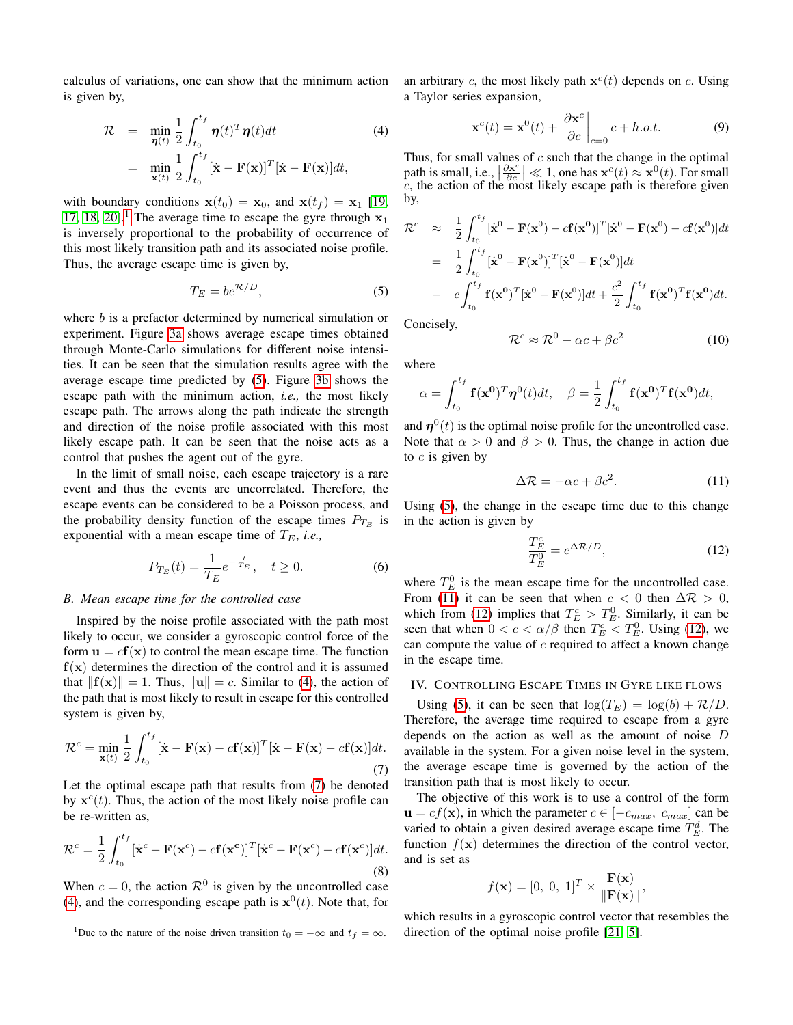calculus of variations, one can show that the minimum action is given by,

<span id="page-2-3"></span>
$$
\mathcal{R} = \min_{\boldsymbol{\eta}(t)} \frac{1}{2} \int_{t_0}^{t_f} \boldsymbol{\eta}(t)^T \boldsymbol{\eta}(t) dt
$$
\n
$$
= \min_{\mathbf{x}(t)} \frac{1}{2} \int_{t_0}^{t_f} [\dot{\mathbf{x}} - \mathbf{F}(\mathbf{x})]^T [\dot{\mathbf{x}} - \mathbf{F}(\mathbf{x})] dt,
$$
\n(4)

with boundary conditions  $\mathbf{x}(t_0) = \mathbf{x}_0$ , and  $\mathbf{x}(t_f) = \mathbf{x}_1$  [\[19,](#page-8-15) [17,](#page-8-13) [18,](#page-8-14) [20\]](#page-8-16).<sup>[1](#page-2-1)</sup> The average time to escape the gyre through  $x_1$ is inversely proportional to the probability of occurrence of this most likely transition path and its associated noise profile. Thus, the average escape time is given by,

<span id="page-2-2"></span>
$$
T_E = b e^{\mathcal{R}/D},\tag{5}
$$

where  $b$  is a prefactor determined by numerical simulation or experiment. Figure [3a](#page-1-4) shows average escape times obtained through Monte-Carlo simulations for different noise intensities. It can be seen that the simulation results agree with the average escape time predicted by [\(5\)](#page-2-2). Figure [3b](#page-1-5) shows the escape path with the minimum action, *i.e.,* the most likely escape path. The arrows along the path indicate the strength and direction of the noise profile associated with this most likely escape path. It can be seen that the noise acts as a control that pushes the agent out of the gyre.

In the limit of small noise, each escape trajectory is a rare event and thus the events are uncorrelated. Therefore, the escape events can be considered to be a Poisson process, and the probability density function of the escape times  $P_{T_E}$  is exponential with a mean escape time of  $T_E$ , *i.e.*,

$$
P_{T_E}(t) = \frac{1}{T_E} e^{-\frac{t}{T_E}}, \quad t \ge 0.
$$
 (6)

# *B. Mean escape time for the controlled case*

Inspired by the noise profile associated with the path most likely to occur, we consider a gyroscopic control force of the form  $\mathbf{u} = c\mathbf{f}(\mathbf{x})$  to control the mean escape time. The function  $f(x)$  determines the direction of the control and it is assumed that  $||f(\mathbf{x})|| = 1$ . Thus,  $||\mathbf{u}|| = c$ . Similar to [\(4\)](#page-2-3), the action of the path that is most likely to result in escape for this controlled system is given by,

<span id="page-2-4"></span>
$$
\mathcal{R}^c = \min_{\mathbf{x}(t)} \frac{1}{2} \int_{t_0}^{t_f} [\dot{\mathbf{x}} - \mathbf{F}(\mathbf{x}) - c\mathbf{f}(\mathbf{x})]^T [\dot{\mathbf{x}} - \mathbf{F}(\mathbf{x}) - c\mathbf{f}(\mathbf{x})] dt.
$$
\n(7)

Let the optimal escape path that results from [\(7\)](#page-2-4) be denoted by  $\mathbf{x}^c(t)$ . Thus, the action of the most likely noise profile can be re-written as,

$$
\mathcal{R}^c = \frac{1}{2} \int_{t_0}^{t_f} [\dot{\mathbf{x}}^c - \mathbf{F}(\mathbf{x}^c) - c\mathbf{f}(\mathbf{x}^c)]^T [\dot{\mathbf{x}}^c - \mathbf{F}(\mathbf{x}^c) - c\mathbf{f}(\mathbf{x}^c)] dt.
$$
\n(8)

When  $c = 0$ , the action  $\mathcal{R}^0$  is given by the uncontrolled case [\(4\)](#page-2-3), and the corresponding escape path is  $x^0(t)$ . Note that, for

an arbitrary c, the most likely path  $\mathbf{x}^c(t)$  depends on c. Using a Taylor series expansion,

$$
\mathbf{x}^{c}(t) = \mathbf{x}^{0}(t) + \left. \frac{\partial \mathbf{x}^{c}}{\partial c} \right|_{c=0} c + h.o.t.
$$
 (9)

Thus, for small values of  $c$  such that the change in the optimal path is small, i.e.,  $\left|\frac{\partial x^c}{\partial c}\right|$  $\frac{\partial x^c}{\partial c}$   $\leq$  1, one has  $\mathbf{x}^c(t) \approx \mathbf{x}^0(t)$ . For small c, the action of the most likely escape path is therefore given by,

$$
\mathcal{R}^c \approx \frac{1}{2} \int_{t_0}^{t_f} [\dot{\mathbf{x}}^0 - \mathbf{F}(\mathbf{x}^0) - c\mathbf{f}(\mathbf{x}^0)]^T [\dot{\mathbf{x}}^0 - \mathbf{F}(\mathbf{x}^0) - c\mathbf{f}(\mathbf{x}^0)] dt
$$
  
\n
$$
= \frac{1}{2} \int_{t_0}^{t_f} [\dot{\mathbf{x}}^0 - \mathbf{F}(\mathbf{x}^0)]^T [\dot{\mathbf{x}}^0 - \mathbf{F}(\mathbf{x}^0)] dt
$$
  
\n
$$
- c \int_{t_0}^{t_f} \mathbf{f}(\mathbf{x}^0)^T [\dot{\mathbf{x}}^0 - \mathbf{F}(\mathbf{x}^0)] dt + \frac{c^2}{2} \int_{t_0}^{t_f} \mathbf{f}(\mathbf{x}^0)^T \mathbf{f}(\mathbf{x}^0) dt.
$$

Concisely,

$$
\mathcal{R}^c \approx \mathcal{R}^0 - \alpha c + \beta c^2 \tag{10}
$$

where

$$
\alpha = \int_{t_0}^{t_f} \mathbf{f}(\mathbf{x}^0)^T \boldsymbol{\eta}^0(t) dt, \quad \beta = \frac{1}{2} \int_{t_0}^{t_f} \mathbf{f}(\mathbf{x}^0)^T \mathbf{f}(\mathbf{x}^0) dt,
$$

and  $\eta^0(t)$  is the optimal noise profile for the uncontrolled case. Note that  $\alpha > 0$  and  $\beta > 0$ . Thus, the change in action due to  $c$  is given by

<span id="page-2-5"></span>
$$
\Delta \mathcal{R} = -\alpha c + \beta c^2. \tag{11}
$$

<span id="page-2-7"></span>Using [\(5\)](#page-2-2), the change in the escape time due to this change in the action is given by

<span id="page-2-6"></span>
$$
\frac{T_E^c}{T_E^0} = e^{\Delta \mathcal{R}/D},\tag{12}
$$

where  $T_E^0$  is the mean escape time for the uncontrolled case. From [\(11\)](#page-2-5) it can be seen that when  $c < 0$  then  $\Delta \mathcal{R} > 0$ , which from [\(12\)](#page-2-6) implies that  $T_E^c > T_E^0$ . Similarly, it can be seen that when  $0 < c < \alpha/\beta$  then  $T_E^c < T_E^0$ . Using [\(12\)](#page-2-6), we can compute the value of  $c$  required to affect a known change in the escape time.

#### <span id="page-2-0"></span>IV. CONTROLLING ESCAPE TIMES IN GYRE LIKE FLOWS

Using [\(5\)](#page-2-2), it can be seen that  $\log(T_E) = \log(b) + \mathcal{R}/D$ . Therefore, the average time required to escape from a gyre depends on the action as well as the amount of noise D available in the system. For a given noise level in the system, the average escape time is governed by the action of the transition path that is most likely to occur.

The objective of this work is to use a control of the form  $u = cf(x)$ , in which the parameter  $c \in [-c_{max}, c_{max}]$  can be varied to obtain a given desired average escape time  $T_E^d$ . The function  $f(\mathbf{x})$  determines the direction of the control vector, and is set as

$$
f(\mathbf{x}) = [0, 0, 1]^T \times \frac{\mathbf{F}(\mathbf{x})}{\|\mathbf{F}(\mathbf{x})\|},
$$

which results in a gyroscopic control vector that resembles the direction of the optimal noise profile [\[21,](#page-8-17) [5\]](#page-8-1).

<span id="page-2-1"></span><sup>&</sup>lt;sup>1</sup>Due to the nature of the noise driven transition  $t_0 = -\infty$  and  $t_f = \infty$ .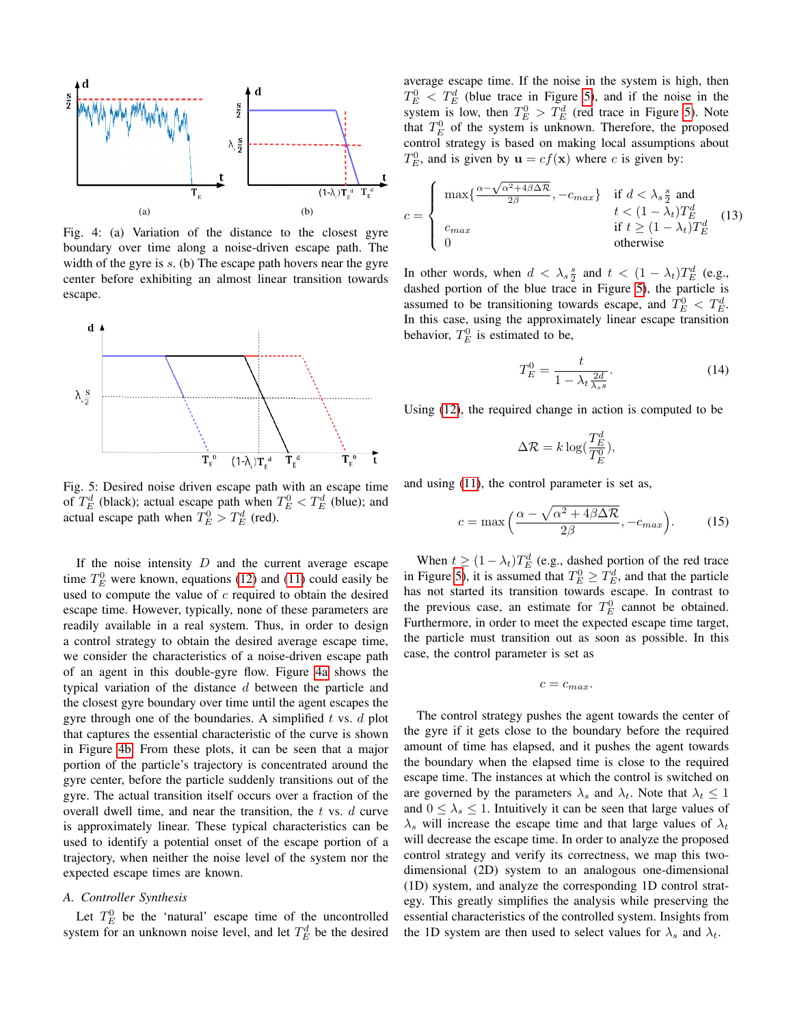<span id="page-3-0"></span>

<span id="page-3-1"></span>Fig. 4: (a) Variation of the distance to the closest gyre boundary over time along a noise-driven escape path. The width of the gyre is  $s$ . (b) The escape path hovers near the gyre center before exhibiting an almost linear transition towards escape.

<span id="page-3-2"></span>

Fig. 5: Desired noise driven escape path with an escape time of  $T_E^d$  (black); actual escape path when  $T_E^0 < T_E^d$  (blue); and actual escape path when  $T_E^0 > T_E^d$  (red).

If the noise intensity  $D$  and the current average escape time  $T_E^0$  were known, equations [\(12\)](#page-2-6) and [\(11\)](#page-2-5) could easily be used to compute the value of  $c$  required to obtain the desired escape time. However, typically, none of these parameters are readily available in a real system. Thus, in order to design a control strategy to obtain the desired average escape time, we consider the characteristics of a noise-driven escape path of an agent in this double-gyre flow. Figure [4a](#page-3-0) shows the typical variation of the distance d between the particle and the closest gyre boundary over time until the agent escapes the gyre through one of the boundaries. A simplified  $t$  vs.  $d$  plot that captures the essential characteristic of the curve is shown in Figure [4b.](#page-3-1) From these plots, it can be seen that a major portion of the particle's trajectory is concentrated around the gyre center, before the particle suddenly transitions out of the gyre. The actual transition itself occurs over a fraction of the overall dwell time, and near the transition, the  $t$  vs.  $d$  curve is approximately linear. These typical characteristics can be used to identify a potential onset of the escape portion of a trajectory, when neither the noise level of the system nor the expected escape times are known.

# <span id="page-3-3"></span>*A. Controller Synthesis*

Let  $T_E^0$  be the 'natural' escape time of the uncontrolled system for an unknown noise level, and let  $T_E^d$  be the desired average escape time. If the noise in the system is high, then  $T_E^0$  <  $T_E^d$  (blue trace in Figure [5\)](#page-3-2), and if the noise in the system is low, then  $T_E^0 > T_E^d$  (red trace in Figure [5\)](#page-3-2). Note that  $T_E^0$  of the system is unknown. Therefore, the proposed control strategy is based on making local assumptions about  $T_E^0$ , and is given by  $\mathbf{u} = cf(\mathbf{x})$  where c is given by:

$$
c = \begin{cases} \max\{\frac{\alpha - \sqrt{\alpha^2 + 4\beta \Delta \mathcal{R}}}{2\beta}, -c_{max}\} & \text{if } d < \lambda_s \frac{s}{2} \text{ and} \\ t < (1 - \lambda_t)T_E^d \\ c_{max} & \text{if } t \ge (1 - \lambda_t)T_E^d \\ 0 & \text{otherwise} \end{cases}
$$
(13)

In other words, when  $d < \lambda_s \frac{s}{2}$  and  $t < (1 - \lambda_t)T_E^d$  (e.g., dashed portion of the blue trace in Figure [5\)](#page-3-2), the particle is assumed to be transitioning towards escape, and  $T_E^0 < T_E^d$ . In this case, using the approximately linear escape transition behavior,  $T_E^0$  is estimated to be,

<span id="page-3-4"></span>
$$
T_E^0 = \frac{t}{1 - \lambda_t \frac{2d}{\lambda_s s}}.\tag{14}
$$

Using [\(12\)](#page-2-6), the required change in action is computed to be

$$
\Delta \mathcal{R} = k \log(\frac{T_E^d}{T_E^0}),
$$

and using [\(11\)](#page-2-5), the control parameter is set as,

$$
c = \max\left(\frac{\alpha - \sqrt{\alpha^2 + 4\beta\Delta\mathcal{R}}}{2\beta}, -c_{max}\right). \tag{15}
$$

When  $t \ge (1 - \lambda_t) T_E^d$  (e.g., dashed portion of the red trace in Figure [5\)](#page-3-2), it is assumed that  $T_E^0 \geq T_E^d$ , and that the particle has not started its transition towards escape. In contrast to the previous case, an estimate for  $T_E^0$  cannot be obtained. Furthermore, in order to meet the expected escape time target, the particle must transition out as soon as possible. In this case, the control parameter is set as

$$
c=c_{max}.
$$

The control strategy pushes the agent towards the center of the gyre if it gets close to the boundary before the required amount of time has elapsed, and it pushes the agent towards the boundary when the elapsed time is close to the required escape time. The instances at which the control is switched on are governed by the parameters  $\lambda_s$  and  $\lambda_t$ . Note that  $\lambda_t \leq 1$ and  $0 \leq \lambda_s \leq 1$ . Intuitively it can be seen that large values of  $\lambda_s$  will increase the escape time and that large values of  $\lambda_t$ will decrease the escape time. In order to analyze the proposed control strategy and verify its correctness, we map this twodimensional (2D) system to an analogous one-dimensional (1D) system, and analyze the corresponding 1D control strategy. This greatly simplifies the analysis while preserving the essential characteristics of the controlled system. Insights from the 1D system are then used to select values for  $\lambda_s$  and  $\lambda_t$ .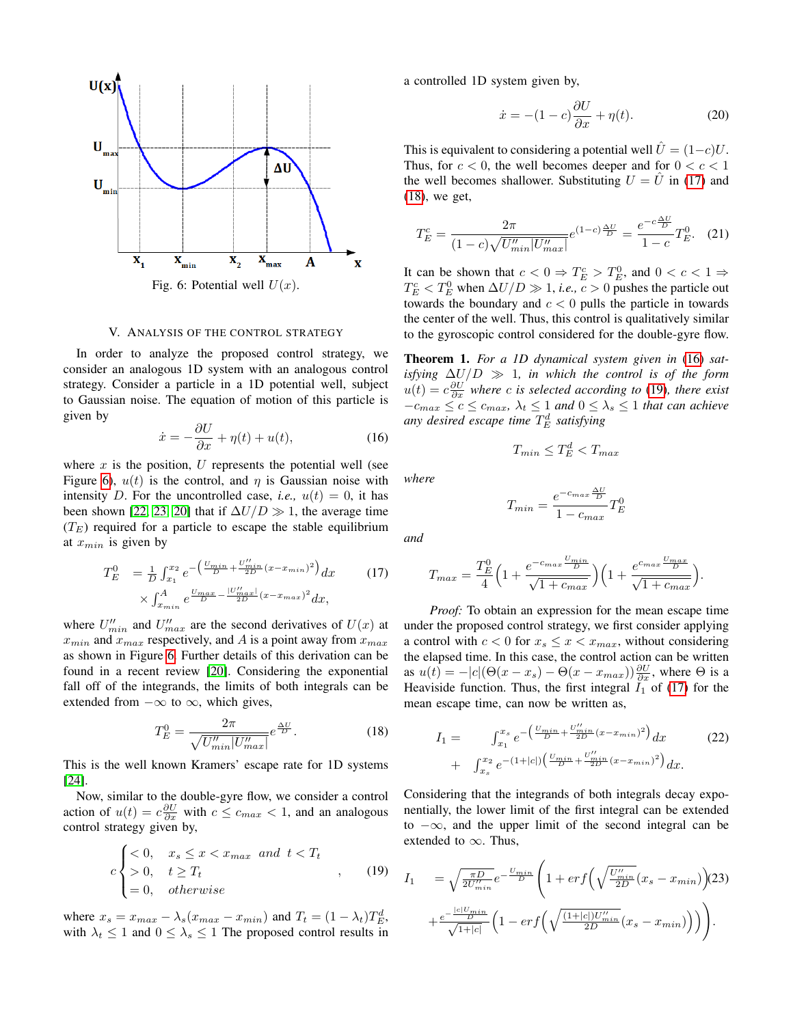<span id="page-4-1"></span>

# V. ANALYSIS OF THE CONTROL STRATEGY

<span id="page-4-0"></span>In order to analyze the proposed control strategy, we consider an analogous 1D system with an analogous control strategy. Consider a particle in a 1D potential well, subject to Gaussian noise. The equation of motion of this particle is given by

<span id="page-4-4"></span>
$$
\dot{x} = -\frac{\partial U}{\partial x} + \eta(t) + u(t),\tag{16}
$$

where  $x$  is the position,  $U$  represents the potential well (see Figure [6\)](#page-4-1),  $u(t)$  is the control, and  $\eta$  is Gaussian noise with intensity D. For the uncontrolled case, *i.e.*,  $u(t) = 0$ , it has been shown [\[22,](#page-8-18) [23,](#page-8-19) [20\]](#page-8-16) that if  $\Delta U/D \gg 1$ , the average time  $(T_E)$  required for a particle to escape the stable equilibrium at  $x_{min}$  is given by

<span id="page-4-2"></span>
$$
T_E^0 = \frac{1}{D} \int_{x_1}^{x_2} e^{-\left(\frac{U_{min}}{D} + \frac{U'_{min}}{2D}(x - x_{min})^2\right)} dx \qquad (17)
$$

$$
\times \int_{x_{min}}^{A} e^{\frac{U_{max}}{D} - \frac{|U'_{max}|}{2D}(x - x_{max})^2} dx,
$$

where  $U''_{min}$  and  $U''_{max}$  are the second derivatives of  $U(x)$  at  $x_{min}$  and  $x_{max}$  respectively, and A is a point away from  $x_{max}$ as shown in Figure [6.](#page-4-1) Further details of this derivation can be found in a recent review [\[20\]](#page-8-16). Considering the exponential fall off of the integrands, the limits of both integrals can be extended from  $-\infty$  to  $\infty$ , which gives,

<span id="page-4-3"></span>
$$
T_E^0 = \frac{2\pi}{\sqrt{U_{min}''|U_{max}''|}} e^{\frac{\Delta U}{D}}.
$$
 (18)

This is the well known Kramers' escape rate for 1D systems [\[24\]](#page-8-20).

Now, similar to the double-gyre flow, we consider a control action of  $u(t) = c \frac{\partial U}{\partial x}$  with  $c \leq c_{max} < 1$ , and an analogous control strategy given by,

<span id="page-4-5"></span>
$$
c \begin{cases} < 0, & x_s \le x < x_{\text{max}} \text{ and } t < T_t \\ > 0, & t \ge T_t \\ = 0, & \text{otherwise} \end{cases} \tag{19}
$$

where  $x_s = x_{max} - \lambda_s (x_{max} - x_{min})$  and  $T_t = (1 - \lambda_t) T_E^d$ , with  $\lambda_t \leq 1$  and  $0 \leq \lambda_s \leq 1$  The proposed control results in a controlled 1D system given by,

$$
\dot{x} = -(1 - c)\frac{\partial U}{\partial x} + \eta(t). \tag{20}
$$

This is equivalent to considering a potential well  $\hat{U} = (1-c)U$ . Thus, for  $c < 0$ , the well becomes deeper and for  $0 < c < 1$ the well becomes shallower. Substituting  $U = U$  in [\(17\)](#page-4-2) and [\(18\)](#page-4-3), we get,

<span id="page-4-7"></span>
$$
T_E^c = \frac{2\pi}{(1-c)\sqrt{U_{min}''|U_{max}''}|}e^{(1-c)\frac{\Delta U}{D}} = \frac{e^{-c\frac{\Delta U}{D}}}{1-c}T_E^0.
$$
 (21)

It can be shown that  $c < 0 \Rightarrow T_E^c > T_E^0$ , and  $0 < c < 1 \Rightarrow$  $T_E^c < T_E^0$  when  $\Delta U/D \gg 1$ , *i.e.*,  $c > 0$  pushes the particle out towards the boundary and  $c < 0$  pulls the particle in towards the center of the well. Thus, this control is qualitatively similar to the gyroscopic control considered for the double-gyre flow.

Theorem 1. *For a 1D dynamical system given in* [\(16\)](#page-4-4) *satisfying*  $\Delta U/D \gg 1$ , *in which the control is of the form*  $u(t) = c \frac{\partial U}{\partial x}$  where c is selected according to [\(19\)](#page-4-5), there exist  $-c_{max}$  ≤  $c$  ≤  $c_{max}$ ,  $\lambda_t$  ≤ 1 *and*  $0 \leq \lambda_s$  ≤ 1 *that can achieve* any desired escape time  $T_E^d$  satisfying

 $T_{min} \leq T_E^d < T_{max}$ 

 $\frac{1 - c_{max}}{1 - c_{max}} T_E^0$ 

 $T_{min} = \frac{e^{-c_{max} \frac{\Delta U}{D}}}{1}$ 

*where*

*and*

$$
T_{max} = \frac{T_E^0}{4} \left( 1 + \frac{e^{-c_{max} \frac{U_{min}}{D}}}{\sqrt{1 + c_{max}}} \right) \left( 1 + \frac{e^{c_{max} \frac{U_{max}}{D}}}{\sqrt{1 + c_{max}}} \right).
$$

*Proof:* To obtain an expression for the mean escape time under the proposed control strategy, we first consider applying a control with  $c < 0$  for  $x_s \leq x < x_{max}$ , without considering the elapsed time. In this case, the control action can be written as  $u(t) = -|c|(\Theta(x - x_s) - \Theta(x - x_{max}))\frac{\partial U}{\partial x}$ , where  $\Theta$  is a Heaviside function. Thus, the first integral  $\tilde{I}_1$  of [\(17\)](#page-4-2) for the mean escape time, can now be written as,

$$
I_{1} = \int_{x_{1}}^{x_{s}} e^{-\left(\frac{U_{min}}{D} + \frac{U'_{min}}{2D}(x - x_{min})^{2}\right)} dx
$$
 (22)  
+ 
$$
\int_{x_{s}}^{x_{2}} e^{-\left(1 + |c|\right)} \left(\frac{U_{min}}{D} + \frac{U'_{min}}{2D}(x - x_{min})^{2}\right) dx.
$$

Considering that the integrands of both integrals decay exponentially, the lower limit of the first integral can be extended to  $-\infty$ , and the upper limit of the second integral can be extended to  $\infty$ . Thus,

<span id="page-4-6"></span>
$$
I_{1} = \sqrt{\frac{\pi D}{2U'_{min}}} e^{-\frac{U_{min}}{D}} \left( 1 + erf\left(\sqrt{\frac{U'_{min}}{2D}}(x_{s} - x_{min})\right)\right)
$$

$$
+ \frac{e^{-\frac{|c|U_{min}}{\sqrt{1+|c|}}}}{\sqrt{1+|c|}} \left( 1 - erf\left(\sqrt{\frac{(1+|c|)U''_{min}}{2D}}(x_{s} - x_{min})\right)\right) \right).
$$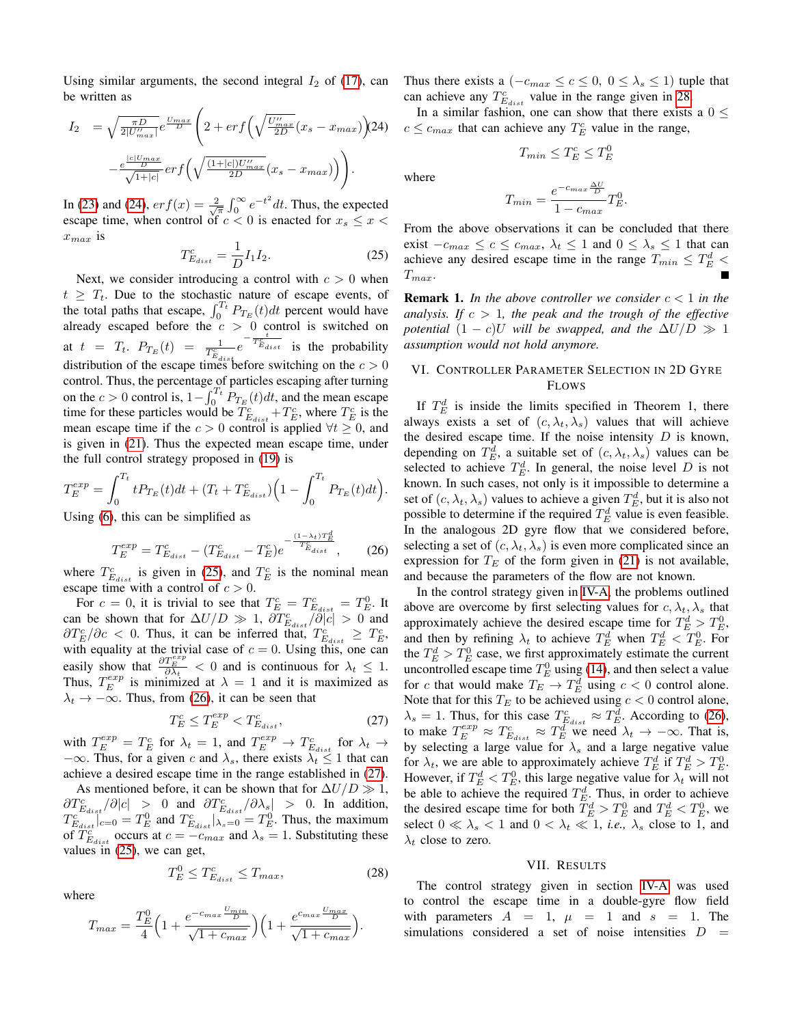Using similar arguments, the second integral  $I_2$  of [\(17\)](#page-4-2), can be written as

<span id="page-5-2"></span>
$$
I_2 = \sqrt{\frac{\pi D}{2|U'_{max}|}} e^{\frac{U_{max}}{D}} \left( 2 + erf\left(\sqrt{\frac{U''_{max}}{2D}}(x_s - x_{max})\right) 24\right)
$$

$$
-\frac{e^{\frac{|c|U_{max}}{D}}}{\sqrt{1+|c|}} erf\left(\sqrt{\frac{(1+|c|)U''_{max}}{2D}}(x_s - x_{max})\right)\right).
$$

<span id="page-5-3"></span>In [\(23\)](#page-4-6) and [\(24\)](#page-5-2),  $erf(x) = \frac{2}{\sqrt{\pi}} \int_0^\infty e^{-t^2} dt$ . Thus, the expected escape time, when control of  $c < 0$  is enacted for  $x_s \leq x <$  $x_{max}$  is

$$
T_{E_{dist}}^c = \frac{1}{D} I_1 I_2.
$$
 (25)

Next, we consider introducing a control with  $c > 0$  when  $t \geq T_t$ . Due to the stochastic nature of escape events, of the total paths that escape,  $\int_0^{T_t} P_{T_E}(t)dt$  percent would have already escaped before the  $c > 0$  control is switched on at  $t = T_t$ .  $P_{T_E}(t) = \frac{1}{T_{E_{dist}}^c} e^{-\frac{t}{T_{E_{dist}}^c}}$  is the probability distribution of the escape times before switching on the  $c > 0$ control. Thus, the percentage of particles escaping after turning on the  $c > 0$  control is,  $1 - \int_0^{T_t} P_{T_E}(t) dt$ , and the mean escape time for these particles would be  $T_{E_{dist}}^c + T_E^c$ , where  $T_E^c$  is the mean escape time if the  $c > 0$  control is applied  $\forall t \geq 0$ , and is given in [\(21\)](#page-4-7). Thus the expected mean escape time, under the full control strategy proposed in [\(19\)](#page-4-5) is

$$
T_E^{exp} = \int_0^{T_t} t P_{T_E}(t) dt + (T_t + T_{E_{dist}}^c) \left(1 - \int_0^{T_t} P_{T_E}(t) dt\right)
$$

Using [\(6\)](#page-2-7), this can be simplified as

$$
T_E^{exp} = T_{E_{dist}}^c - (T_{E_{dist}}^c - T_E^c)e^{-\frac{(1-\lambda_t)T_E^d}{T_{E_{dist}}^c}},
$$
 (26)

where  $T_{E_{dist}}^c$  is given in [\(25\)](#page-5-3), and  $T_E^c$  is the nominal mean escape time with a control of  $c > 0$ .

For  $c = 0$ , it is trivial to see that  $T_E^c = T_{E_{dist}}^c = T_E^0$ . It can be shown that for  $\Delta U/D \gg 1$ ,  $\partial T_{E_{dist}}^c / \partial |c| > 0$  and  $\partial T_{E}^{c}/\partial c$  < 0. Thus, it can be inferred that,  $T_{E_{dist}}^{c} \geq T_{E}^{c}$ , with equality at the trivial case of  $c = 0$ . Using this, one can easily show that  $\frac{\partial T_{E}^{exp}}{\partial \lambda_t} < 0$  and is continuous for  $\lambda_t \leq 1$ . Thus,  $T_E^{exp}$  is minimized at  $\lambda = 1$  and it is maximized as  $\lambda_t \rightarrow -\infty$ . Thus, from [\(26\)](#page-5-4), it can be seen that

$$
T_E^c \le T_E^{exp} < T_{E_{dist}}^c,\tag{27}
$$

with  $T_E^{exp} = T_E^c$  for  $\lambda_t = 1$ , and  $T_E^{exp} \rightarrow T_{E_{dist}}^c$  for  $\lambda_t \rightarrow$  $-\infty$ . Thus, for a given c and  $\lambda_s$ , there exists  $\lambda_t \leq 1$  that can achieve a desired escape time in the range established in [\(27\)](#page-5-5).

As mentioned before, it can be shown that for  $\Delta U/D \gg 1$ ,  $\partial T_{E_{dist}}^c / \partial |c| > 0$  and  $\partial T_{E_{dist}}^c / \partial \lambda_s | > 0$ . In addition,  $T_{E_{dist}}^c|_{c=0} = T_E^0$  and  $T_{E_{dist}}^c|_{\lambda_s=0} = T_E^0$ . Thus, the maximum of  $\overline{T}_{E_{dist}}^c$  occurs at  $c = -c_{max}$  and  $\lambda_s = 1$ . Substituting these values in [\(25\)](#page-5-3), we can get,

<span id="page-5-6"></span>
$$
T_E^0 \le T_{E_{dist}}^c \le T_{max},\tag{28}
$$

where

$$
T_{max} = \frac{T_E^0}{4} \left( 1 + \frac{e^{-c_{max} \frac{U_{min}}{D}}}{\sqrt{1 + c_{max}}} \right) \left( 1 + \frac{e^{c_{max} \frac{U_{max}}{D}}}{\sqrt{1 + c_{max}}} \right).
$$

Thus there exists a  $(-c_{max} \le c \le 0, 0 \le \lambda_s \le 1)$  tuple that can achieve any  $T_{E_{dist}}^c$  value in the range given in [28.](#page-5-6)

(24)  $c \leq c_{max}$  that can achieve any  $T_E^c$  value in the range, In a similar fashion, one can show that there exists a  $0 \leq$ 

 $T_{min} \leq T_E^c \leq T_E^0$ 

where

<span id="page-5-4"></span>.

$$
T_{min} = \frac{e^{-c_{max} \frac{\Delta U}{D}}}{1 - c_{max}} T_E^0.
$$

From the above observations it can be concluded that there exist  $-c_{max} \le c \le c_{max}$ ,  $\lambda_t \le 1$  and  $0 \le \lambda_s \le 1$  that can achieve any desired escape time in the range  $T_{min} \leq T_E^d$  <  $T_{max}$ .

**Remark 1.** In the above controller we consider  $c < 1$  in the *analysis. If* c > 1*, the peak and the trough of the effective potential*  $(1 - c)U$  *will be swapped, and the*  $\Delta U/D \gg 1$ *assumption would not hold anymore.*

# <span id="page-5-0"></span>VI. CONTROLLER PARAMETER SELECTION IN 2D GYRE FLOWS

If  $T_E^d$  is inside the limits specified in Theorem 1, there always exists a set of  $(c, \lambda_t, \lambda_s)$  values that will achieve the desired escape time. If the noise intensity  $D$  is known, depending on  $T_E^d$ , a suitable set of  $(c, \lambda_t, \lambda_s)$  values can be selected to achieve  $T_E^d$ . In general, the noise level D is not known. In such cases, not only is it impossible to determine a set of  $(c, \lambda_t, \lambda_s)$  values to achieve a given  $T_E^d$ , but it is also not possible to determine if the required  $T_E^d$  value is even feasible. In the analogous 2D gyre flow that we considered before, selecting a set of  $(c, \lambda_t, \lambda_s)$  is even more complicated since an expression for  $T_E$  of the form given in [\(21\)](#page-4-7) is not available, and because the parameters of the flow are not known.

<span id="page-5-5"></span>In the control strategy given in [IV-A,](#page-3-3) the problems outlined above are overcome by first selecting values for  $c, \lambda_t, \lambda_s$  that approximately achieve the desired escape time for  $T_E^d > T_E^0$ , and then by refining  $\lambda_t$  to achieve  $T_E^d$  when  $T_E^d < T_E^0$ . For the  $T_E^d > T_E^0$  case, we first approximately estimate the current uncontrolled escape time  $T_E^0$  using [\(14\)](#page-3-4), and then select a value for c that would make  $T_E \to T_E^d$  using  $c < 0$  control alone. Note that for this  $T_E$  to be achieved using  $c < 0$  control alone,  $\lambda_s = 1$ . Thus, for this case  $T_{E_{dist}}^c \approx T_E^d$ . According to [\(26\)](#page-5-4), to make  $T_E^{exp} \approx T_{E_{dist}}^c \approx T_E^{\overline{d}^{dust}_{disc}}$  we need  $\lambda_t \to -\infty$ . That is, by selecting a large value for  $\lambda_s$  and a large negative value for  $\lambda_t$ , we are able to approximately achieve  $T_E^d$  if  $T_E^d > T_E^0$ . However, if  $T_E^d < T_E^0$ , this large negative value for  $\lambda_t$  will not be able to achieve the required  $T_E^d$ . Thus, in order to achieve the desired escape time for both  $T_E^d > T_E^0$  and  $T_E^d < T_E^0$ , we select  $0 \ll \lambda_s < 1$  and  $0 < \lambda_t \ll 1$ , *i.e.*,  $\lambda_s$  close to 1, and  $\lambda_t$  close to zero.

# VII. RESULTS

<span id="page-5-1"></span>The control strategy given in section [IV-A](#page-3-3) was used to control the escape time in a double-gyre flow field with parameters  $A = 1$ ,  $\mu = 1$  and  $s = 1$ . The simulations considered a set of noise intensities  $D =$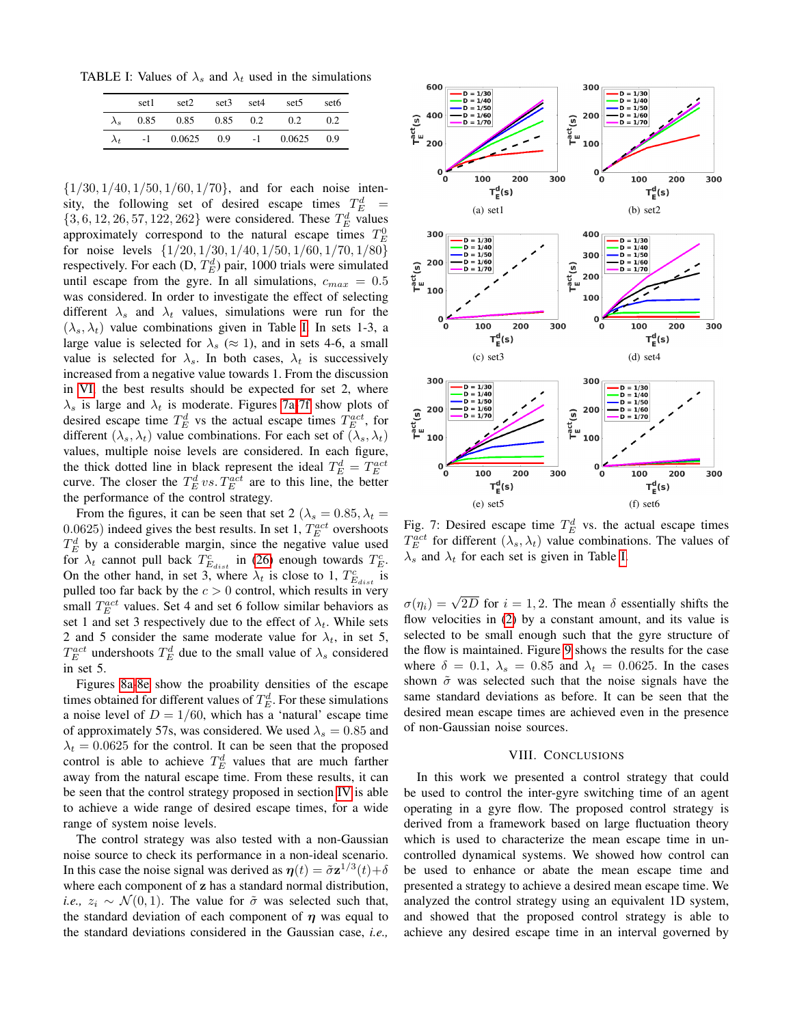<span id="page-6-1"></span>TABLE I: Values of  $\lambda_s$  and  $\lambda_t$  used in the simulations

|             | set1 | set2                       | set <sub>3</sub> | set4 | set <sub>5</sub> | set <sub>6</sub> |
|-------------|------|----------------------------|------------------|------|------------------|------------------|
| $\lambda_s$ |      | $0.85$ $0.85$ $0.85$ $0.2$ |                  |      | 0.2              | 0.2              |
| $\lambda_t$ |      | $-1$ 0.0625 0.9            |                  |      | $-1$ 0.0625 0.9  |                  |

 $\{1/30, 1/40, 1/50, 1/60, 1/70\}$ , and for each noise intensity, the following set of desired escape times  $T_E^d$  =  $\{3, 6, 12, 26, 57, 122, 262\}$  were considered. These  $T_E^d$  values approximately correspond to the natural escape times  $T_E^0$ for noise levels  $\{1/20, 1/30, 1/40, 1/50, 1/60, 1/70, 1/80\}$ respectively. For each  $(D, T_E^d)$  pair, 1000 trials were simulated until escape from the gyre. In all simulations,  $c_{max} = 0.5$ was considered. In order to investigate the effect of selecting different  $\lambda_s$  and  $\lambda_t$  values, simulations were run for the  $(\lambda_s, \lambda_t)$  value combinations given in Table [I.](#page-6-1) In sets 1-3, a large value is selected for  $\lambda_s \approx 1$ , and in sets 4-6, a small value is selected for  $\lambda_s$ . In both cases,  $\lambda_t$  is successively increased from a negative value towards 1. From the discussion in [VI,](#page-5-0) the best results should be expected for set 2, where  $\lambda_s$  is large and  $\lambda_t$  is moderate. Figures [7a-](#page-6-2)[7f](#page-6-3) show plots of desired escape time  $T_E^d$  vs the actual escape times  $T_E^{act}$ , for different  $(\lambda_s, \lambda_t)$  value combinations. For each set of  $(\lambda_s, \lambda_t)$ values, multiple noise levels are considered. In each figure, the thick dotted line in black represent the ideal  $T_E^d = T_E^{act}$ <br>curve. The closer the  $T_E^d$  vs.  $T_E^{act}$  are to this line, the better the performance of the control strategy.

From the figures, it can be seen that set 2 ( $\lambda_s = 0.85, \lambda_t =$ 0.0625) indeed gives the best results. In set 1,  $T_E^{act}$  overshoots  $T_E^d$  by a considerable margin, since the negative value used for  $\lambda_t$  cannot pull back  $T_{E_{dist}}^c$  in [\(26\)](#page-5-4) enough towards  $T_E^c$ . On the other hand, in set 3, where  $\lambda_t$  is close to 1,  $T_{E_{dist}}^c$  is pulled too far back by the  $c > 0$  control, which results in very small  $T_E^{act}$  values. Set 4 and set 6 follow similar behaviors as set 1 and set 3 respectively due to the effect of  $\lambda_t$ . While sets 2 and 5 consider the same moderate value for  $\lambda_t$ , in set 5,  $T_E^{act}$  undershoots  $T_E^d$  due to the small value of  $\lambda_s$  considered in set 5.

Figures [8a-](#page-7-3)[8e](#page-7-4) show the proability densities of the escape times obtained for different values of  $T_E^d$ . For these simulations a noise level of  $D = 1/60$ , which has a 'natural' escape time of approximately 57s, was considered. We used  $\lambda_s = 0.85$  and  $\lambda_t = 0.0625$  for the control. It can be seen that the proposed control is able to achieve  $T_E^d$  values that are much farther away from the natural escape time. From these results, it can be seen that the control strategy proposed in section [IV](#page-2-0) is able to achieve a wide range of desired escape times, for a wide range of system noise levels.

The control strategy was also tested with a non-Gaussian noise source to check its performance in a non-ideal scenario. In this case the noise signal was derived as  $\eta(t) = \tilde{\sigma} \mathbf{z}^{1/3}(t) + \delta$ where each component of z has a standard normal distribution, *i.e.*,  $z_i \sim \mathcal{N}(0, 1)$ . The value for  $\tilde{\sigma}$  was selected such that, the standard deviation of each component of  $\eta$  was equal to the standard deviations considered in the Gaussian case, *i.e.,*

<span id="page-6-2"></span>

<span id="page-6-3"></span>Fig. 7: Desired escape time  $T_E^d$  vs. the actual escape times  $T_E^{act}$  for different  $(\lambda_s, \lambda_t)$  value combinations. The values of  $\lambda_s$  and  $\lambda_t$  for each set is given in Table [I.](#page-6-1)

 $\sigma(\eta_i) = \sqrt{2D}$  for  $i = 1, 2$ . The mean  $\delta$  essentially shifts the flow velocities in [\(2\)](#page-1-2) by a constant amount, and its value is selected to be small enough such that the gyre structure of the flow is maintained. Figure [9](#page-7-5) shows the results for the case where  $\delta = 0.1$ ,  $\lambda_s = 0.85$  and  $\lambda_t = 0.0625$ . In the cases shown  $\tilde{\sigma}$  was selected such that the noise signals have the same standard deviations as before. It can be seen that the desired mean escape times are achieved even in the presence of non-Gaussian noise sources.

## VIII. CONCLUSIONS

<span id="page-6-0"></span>In this work we presented a control strategy that could be used to control the inter-gyre switching time of an agent operating in a gyre flow. The proposed control strategy is derived from a framework based on large fluctuation theory which is used to characterize the mean escape time in uncontrolled dynamical systems. We showed how control can be used to enhance or abate the mean escape time and presented a strategy to achieve a desired mean escape time. We analyzed the control strategy using an equivalent 1D system, and showed that the proposed control strategy is able to achieve any desired escape time in an interval governed by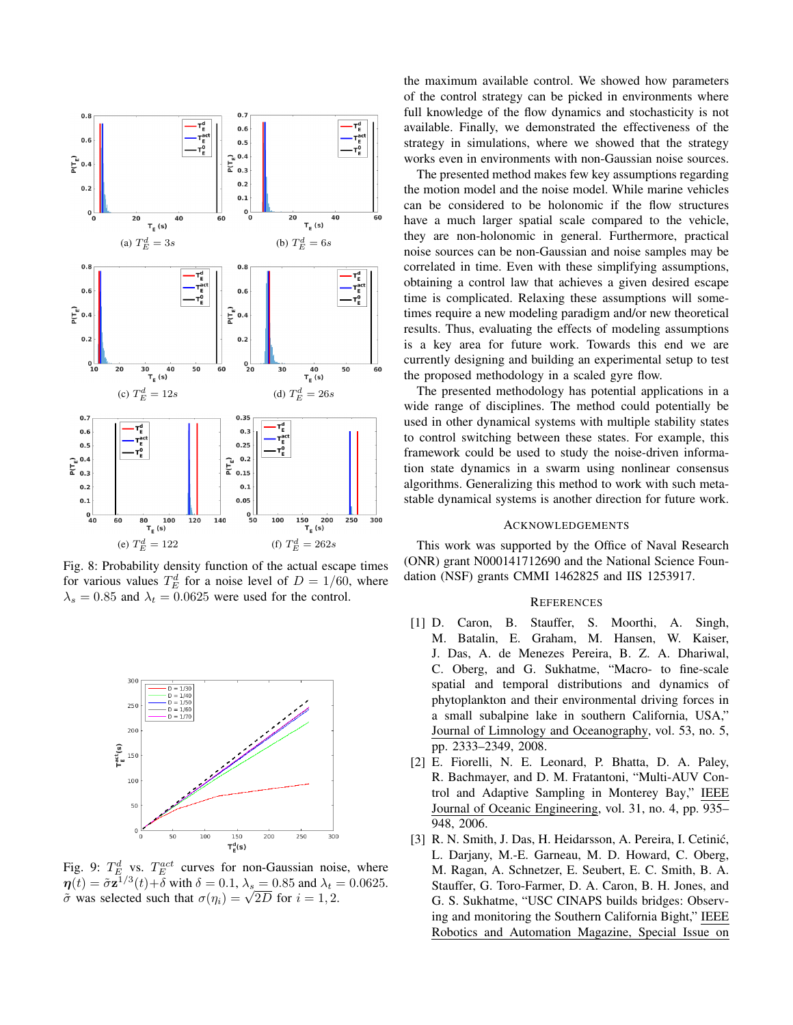<span id="page-7-3"></span>

<span id="page-7-4"></span>Fig. 8: Probability density function of the actual escape times for various values  $T_E^d$  for a noise level of  $D = 1/60$ , where  $\lambda_s = 0.85$  and  $\lambda_t = 0.0625$  were used for the control.

<span id="page-7-5"></span>

Fig. 9:  $T_E^d$  vs.  $T_E^{act}$  curves for non-Gaussian noise, where  $\boldsymbol{\eta}(t) = \tilde{\sigma} \mathbf{z}^{1/3}(t) + \delta$  with  $\delta = 0.1$ ,  $\lambda_s = 0.85$  and  $\lambda_t = 0.0625$ .  $\eta(t) = \sigma \mathbf{z}^{-t}(\tau) + \sigma$  with  $\sigma = 0.1$ ,  $\lambda_s = 0.85$  and  $\lambda_t = \tilde{\sigma}$  was selected such that  $\sigma(\eta_i) = \sqrt{2D}$  for  $i = 1, 2$ .

the maximum available control. We showed how parameters of the control strategy can be picked in environments where full knowledge of the flow dynamics and stochasticity is not available. Finally, we demonstrated the effectiveness of the strategy in simulations, where we showed that the strategy works even in environments with non-Gaussian noise sources.

The presented method makes few key assumptions regarding the motion model and the noise model. While marine vehicles can be considered to be holonomic if the flow structures have a much larger spatial scale compared to the vehicle, they are non-holonomic in general. Furthermore, practical noise sources can be non-Gaussian and noise samples may be correlated in time. Even with these simplifying assumptions, obtaining a control law that achieves a given desired escape time is complicated. Relaxing these assumptions will sometimes require a new modeling paradigm and/or new theoretical results. Thus, evaluating the effects of modeling assumptions is a key area for future work. Towards this end we are currently designing and building an experimental setup to test the proposed methodology in a scaled gyre flow.

The presented methodology has potential applications in a wide range of disciplines. The method could potentially be used in other dynamical systems with multiple stability states to control switching between these states. For example, this framework could be used to study the noise-driven information state dynamics in a swarm using nonlinear consensus algorithms. Generalizing this method to work with such metastable dynamical systems is another direction for future work.

#### ACKNOWLEDGEMENTS

This work was supported by the Office of Naval Research (ONR) grant N000141712690 and the National Science Foundation (NSF) grants CMMI 1462825 and IIS 1253917.

# **REFERENCES**

- <span id="page-7-0"></span>[1] D. Caron, B. Stauffer, S. Moorthi, A. Singh, M. Batalin, E. Graham, M. Hansen, W. Kaiser, J. Das, A. de Menezes Pereira, B. Z. A. Dhariwal, C. Oberg, and G. Sukhatme, "Macro- to fine-scale spatial and temporal distributions and dynamics of phytoplankton and their environmental driving forces in a small subalpine lake in southern California, USA," Journal of Limnology and Oceanography, vol. 53, no. 5, pp. 2333–2349, 2008.
- <span id="page-7-1"></span>[2] E. Fiorelli, N. E. Leonard, P. Bhatta, D. A. Paley, R. Bachmayer, and D. M. Fratantoni, "Multi-AUV Control and Adaptive Sampling in Monterey Bay," IEEE Journal of Oceanic Engineering, vol. 31, no. 4, pp. 935– 948, 2006.
- <span id="page-7-2"></span>[3] R. N. Smith, J. Das, H. Heidarsson, A. Pereira, I. Cetinić, L. Darjany, M.-E. Garneau, M. D. Howard, C. Oberg, M. Ragan, A. Schnetzer, E. Seubert, E. C. Smith, B. A. Stauffer, G. Toro-Farmer, D. A. Caron, B. H. Jones, and G. S. Sukhatme, "USC CINAPS builds bridges: Observing and monitoring the Southern California Bight," IEEE Robotics and Automation Magazine, Special Issue on